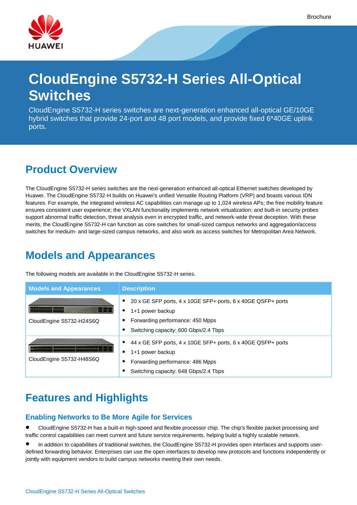

# **CloudEngine S5732-H Series All-Optical Switches**

CloudEngine S5732-H series switches are next-generation enhanced all-optical GE/10GE hybrid switches that provide 24-port and 48 port models, and provide fixed 6\*40GE uplink ports.

### **Product Overview**

The CloudEngine S5732-H series switches are the next-generation enhanced all-optical Ethernet switches developed by Huawei. The CloudEngine S5732-H builds on Huawei's unified Versatile Routing Platform (VRP) and boasts various IDN features. For example, the integrated wireless AC capabilities can manage up to 1,024 wireless APs; the free mobility feature ensures consistent user experience; the VXLAN functionality implements network virtualization; and built-in security probes support abnormal traffic detection, threat analysis even in encrypted traffic, and network-wide threat deception. With these merits, the CloudEngine S5732-H can function as core switches for small-sized campus networks and aggregation/access switches for medium- and large-sized campus networks, and also work as access switches for Metropolitan Area Network.

## **Models and Appearances**

The following models are available in the CloudEngine S5732-H series.

| <b>Models and Appearances</b> | <b>Description</b>                                                                                                                                            |
|-------------------------------|---------------------------------------------------------------------------------------------------------------------------------------------------------------|
| CloudEngine S5732-H24S6Q      | 20 x GE SFP ports, 4 x 10GE SFP+ ports, 6 x 40GE QSFP+ ports<br>1+1 power backup<br>Forwarding performance: 450 Mpps<br>Switching capacity: 600 Gbps/2.4 Tbps |
| CloudEngine S5732-H48S6Q      | 44 x GE SFP ports, 4 x 10GE SFP+ ports, 6 x 40GE QSFP+ ports<br>1+1 power backup<br>Forwarding performance: 486 Mpps<br>Switching capacity: 648 Gbps/2.4 Tbps |

### **Features and Highlights**

### **Enabling Networks to Be More Agile for Services**

 CloudEngine S5732-H has a built-in high-speed and flexible processor chip. The chip's flexible packet processing and traffic control capabilities can meet current and future service requirements, helping build a highly scalable network.

 In addition to capabilities of traditional switches, the CloudEngine S5732-H provides open interfaces and supports userdefined forwarding behavior. Enterprises can use the open interfaces to develop new protocols and functions independently or jointly with equipment vendors to build campus networks meeting their own needs.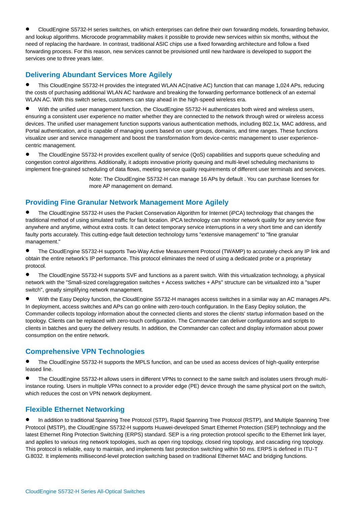CloudEngine S5732-H series switches, on which enterprises can define their own forwarding models, forwarding behavior, and lookup algorithms. Microcode programmability makes it possible to provide new services within six months, without the need of replacing the hardware. In contrast, traditional ASIC chips use a fixed forwarding architecture and follow a fixed forwarding process. For this reason, new services cannot be provisioned until new hardware is developed to support the services one to three years later.

### **Delivering Abundant Services More Agilely**

 This CloudEngine S5732-H provides the integrated WLAN AC(native AC) function that can manage 1,024 APs, reducing the costs of purchasing additional WLAN AC hardware and breaking the forwarding performance bottleneck of an external WLAN AC. With this switch series, customers can stay ahead in the high-speed wireless era.

 With the unified user management function, the CloudEngine S5732-H authenticates both wired and wireless users, ensuring a consistent user experience no matter whether they are connected to the network through wired or wireless access devices. The unified user management function supports various authentication methods, including 802.1x, MAC address, and Portal authentication, and is capable of managing users based on user groups, domains, and time ranges. These functions visualize user and service management and boost the transformation from device-centric management to user experiencecentric management.

 The CloudEngine S5732-H provides excellent quality of service (QoS) capabilities and supports queue scheduling and congestion control algorithms. Additionally, it adopts innovative priority queuing and multi-level scheduling mechanisms to implement fine-grained scheduling of data flows, meeting service quality requirements of different user terminals and services.

> Note: The CloudEngine S5732-H can manage 16 APs by default . You can purchase licenses for more AP management on demand.

#### **Providing Fine Granular Network Management More Agilely**

 The CloudEngine S5732-H uses the Packet Conservation Algorithm for Internet (iPCA) technology that changes the traditional method of using simulated traffic for fault location. iPCA technology can monitor network quality for any service flow anywhere and anytime, without extra costs. It can detect temporary service interruptions in a very short time and can identify faulty ports accurately. This cutting-edge fault detection technology turns "extensive management" to "fine granular management."

 The CloudEngine S5732-H supports Two-Way Active Measurement Protocol (TWAMP) to accurately check any IP link and obtain the entire network's IP performance. This protocol eliminates the need of using a dedicated probe or a proprietary protocol.

 The CloudEngine S5732-H supports SVF and functions as a parent switch. With this virtualization technology, a physical network with the "Small-sized core/aggregation switches + Access switches + APs" structure can be virtualized into a "super switch", greatly simplifying network management.

 With the Easy Deploy function, the CloudEngine S5732-H manages access switches in a similar way an AC manages APs. In deployment, access switches and APs can go online with zero-touch configuration. In the Easy Deploy solution, the Commander collects topology information about the connected clients and stores the clients' startup information based on the topology. Clients can be replaced with zero-touch configuration. The Commander can deliver configurations and scripts to clients in batches and query the delivery results. In addition, the Commander can collect and display information about power consumption on the entire network.

### **Comprehensive VPN Technologies**

 The CloudEngine S5732-H supports the MPLS function, and can be used as access devices of high-quality enterprise leased line.

 The CloudEngine S5732-H allows users in different VPNs to connect to the same switch and isolates users through multiinstance routing. Users in multiple VPNs connect to a provider edge (PE) device through the same physical port on the switch, which reduces the cost on VPN network deployment.

### **Flexible Ethernet Networking**

 In addition to traditional Spanning Tree Protocol (STP), Rapid Spanning Tree Protocol (RSTP), and Multiple Spanning Tree Protocol (MSTP), the CloudEngine S5732-H supports Huawei-developed Smart Ethernet Protection (SEP) technology and the latest Ethernet Ring Protection Switching (ERPS) standard. SEP is a ring protection protocol specific to the Ethernet link layer, and applies to various ring network topologies, such as open ring topology, closed ring topology, and cascading ring topology. This protocol is reliable, easy to maintain, and implements fast protection switching within 50 ms. ERPS is defined in ITU-T G.8032. It implements millisecond-level protection switching based on traditional Ethernet MAC and bridging functions.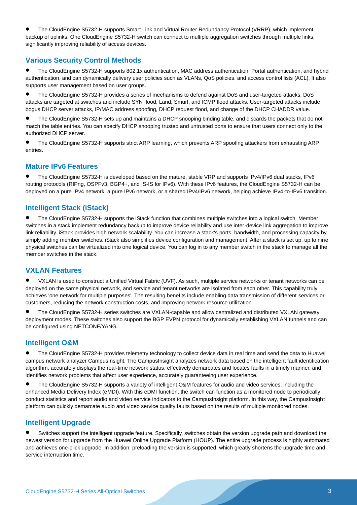The CloudEngine S5732-H supports Smart Link and Virtual Router Redundancy Protocol (VRRP), which implement backup of uplinks. One CloudEngine S5732-H switch can connect to multiple aggregation switches through multiple links, significantly improving reliability of access devices.

### **Various Security Control Methods**

 The CloudEngine S5732-H supports 802.1x authentication, MAC address authentication, Portal authentication, and hybrid authentication, and can dynamically delivery user policies such as VLANs, QoS policies, and access control lists (ACL). It also supports user management based on user groups.

 The CloudEngine S5732-H provides a series of mechanisms to defend against DoS and user-targeted attacks. DoS attacks are targeted at switches and include SYN flood, Land, Smurf, and ICMP flood attacks. User-targeted attacks include bogus DHCP server attacks, IP/MAC address spoofing, DHCP request flood, and change of the DHCP CHADDR value.

 The CloudEngine S5732-H sets up and maintains a DHCP snooping binding table, and discards the packets that do not match the table entries. You can specify DHCP snooping trusted and untrusted ports to ensure that users connect only to the authorized DHCP server.

 The CloudEngine S5732-H supports strict ARP learning, which prevents ARP spoofing attackers from exhausting ARP entries.

#### **Mature IPv6 Features**

 The CloudEngine S5732-H is developed based on the mature, stable VRP and supports IPv4/IPv6 dual stacks, IPv6 routing protocols (RIPng, OSPFv3, BGP4+, and IS-IS for IPv6). With these IPv6 features, the CloudEngine S5732-H can be deployed on a pure IPv4 network, a pure IPv6 network, or a shared IPv4/IPv6 network, helping achieve IPv4-to-IPv6 transition.

### **Intelligent Stack (iStack)**

 The CloudEngine S5732-H supports the iStack function that combines multiple switches into a logical switch. Member switches in a stack implement redundancy backup to improve device reliability and use inter-device link aggregation to improve link reliability. iStack provides high network scalability. You can increase a stack's ports, bandwidth, and processing capacity by simply adding member switches. iStack also simplifies device configuration and management. After a stack is set up, up to nine physical switches can be virtualized into one logical device. You can log in to any member switch in the stack to manage all the member switches in the stack.

### **VXLAN Features**

 VXLAN is used to construct a Unified Virtual Fabric (UVF). As such, multiple service networks or tenant networks can be deployed on the same physical network, and service and tenant networks are isolated from each other. This capability truly achieves 'one network for multiple purposes'. The resulting benefits include enabling data transmission of different services or customers, reducing the network construction costs, and improving network resource utilization.

 The CloudEngine S5732-H series switches are VXLAN-capable and allow centralized and distributed VXLAN gateway deployment modes. These switches also support the BGP EVPN protocol for dynamically establishing VXLAN tunnels and can be configured using NETCONF/YANG.

#### **Intelligent O&M**

 The CloudEngine S5732-H provides telemetry technology to collect device data in real time and send the data to Huawei campus network analyzer CampusInsight. The CampusInsight analyzes network data based on the intelligent fault identification algorithm, accurately displays the real-time network status, effectively demarcates and locates faults in a timely manner, and identifies network problems that affect user experience, accurately guaranteeing user experience.

 The CloudEngine S5732-H supports a variety of intelligent O&M features for audio and video services, including the enhanced Media Delivery Index (eMDI). With this eDMI function, the switch can function as a monitored node to periodically conduct statistics and report audio and video service indicators to the CampusInsight platform. In this way, the CampusInsight platform can quickly demarcate audio and video service quality faults based on the results of multiple monitored nodes.

### **Intelligent Upgrade**

 Switches support the intelligent upgrade feature. Specifically, switches obtain the version upgrade path and download the newest version for upgrade from the Huawei Online Upgrade Platform (HOUP). The entire upgrade process is highly automated and achieves one-click upgrade. In addition, preloading the version is supported, which greatly shortens the upgrade time and service interruption time.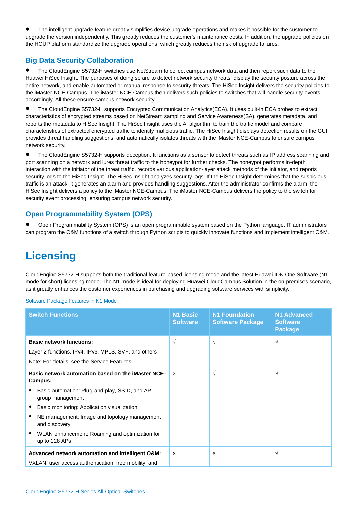The intelligent upgrade feature greatly simplifies device upgrade operations and makes it possible for the customer to upgrade the version independently. This greatly reduces the customer's maintenance costs. In addition, the upgrade policies on the HOUP platform standardize the upgrade operations, which greatly reduces the risk of upgrade failures.

### **Big Data Security Collaboration**

 The CloudEngine S5732-H switches use NetStream to collect campus network data and then report such data to the Huawei HiSec Insight. The purposes of doing so are to detect network security threats, display the security posture across the entire network, and enable automated or manual response to security threats. The HiSec Insight delivers the security policies to the iMaster NCE-Campus. The iMaster NCE-Campus then delivers such policies to switches that will handle security events accordingly. All these ensure campus network security.

 The CloudEngine S5732-H supports Encrypted Communication Analytics(ECA). It uses built-in ECA probes to extract characteristics of encrypted streams based on NetStream sampling and Service Awareness(SA), generates metadata, and reports the metadata to HiSec Insight. The HiSec Insight uses the AI algorithm to train the traffic model and compare characteristics of extracted encrypted traffic to identify malicious traffic. The HiSec Insight displays detection results on the GUI, provides threat handling suggestions, and automatically isolates threats with the iMaster NCE-Campus to ensure campus network security.

 The CloudEngine S5732-H supports deception. It functions as a sensor to detect threats such as IP address scanning and port scanning on a network and lures threat traffic to the honeypot for further checks. The honeypot performs in-depth interaction with the initiator of the threat traffic, records various application-layer attack methods of the initiator, and reports security logs to the HiSec Insight. The HiSec Insight analyzes security logs. If the HiSec Insight determines that the suspicious traffic is an attack, it generates an alarm and provides handling suggestions. After the administrator confirms the alarm, the HiSec Insight delivers a policy to the iMaster NCE-Campus. The iMaster NCE-Campus delivers the policy to the switch for security event processing, ensuring campus network security.

### **Open Programmability System (OPS)**

 Open Programmability System (OPS) is an open programmable system based on the Python language. IT administrators can program the O&M functions of a switch through Python scripts to quickly innovate functions and implement intelligent O&M.

### **Licensing**

CloudEngine S5732-H supports both the traditional feature-based licensing mode and the latest Huawei IDN One Software (N1 mode for short) licensing mode. The N1 mode is ideal for deploying Huawei CloudCampus Solution in the on-premises scenario, as it greatly enhances the customer experiences in purchasing and upgrading software services with simplicity.

#### Software Package Features in N1 Mode

| <b>Switch Functions</b>                                                                                                                | <b>N1 Basic</b><br><b>Software</b> | <b>N1 Foundation</b><br><b>Software Package</b> | <b>N1 Advanced</b><br><b>Software</b><br><b>Package</b> |
|----------------------------------------------------------------------------------------------------------------------------------------|------------------------------------|-------------------------------------------------|---------------------------------------------------------|
| <b>Basic network functions:</b><br>Layer 2 functions, IPv4, IPv6, MPLS, SVF, and others<br>Note: For details, see the Service Features | $\sqrt{ }$                         | $\sqrt{ }$                                      | $\sqrt{}$                                               |
| Basic network automation based on the iMaster NCE-<br>Campus:                                                                          | $\boldsymbol{\mathsf{x}}$          | $\sqrt{ }$                                      | $\sqrt{}$                                               |
| Basic automation: Plug-and-play, SSID, and AP<br>group management                                                                      |                                    |                                                 |                                                         |
| Basic monitoring: Application visualization                                                                                            |                                    |                                                 |                                                         |
| NE management: Image and topology management<br>and discovery                                                                          |                                    |                                                 |                                                         |
| WLAN enhancement: Roaming and optimization for<br>up to 128 APs                                                                        |                                    |                                                 |                                                         |
| Advanced network automation and intelligent O&M:                                                                                       | $\boldsymbol{\mathsf{x}}$          | $\boldsymbol{\mathsf{x}}$                       | $\sqrt{}$                                               |
| VXLAN, user access authentication, free mobility, and                                                                                  |                                    |                                                 |                                                         |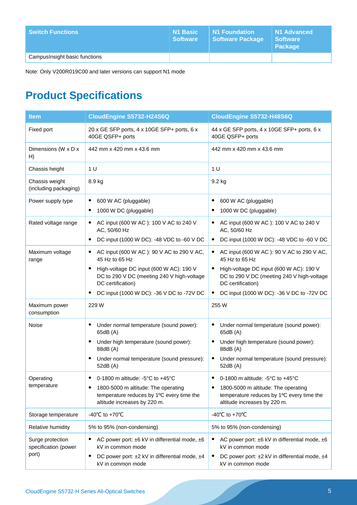| l Switch Functions .           | <b>N1 Basic</b><br><b>Software</b> | N1 Foundation<br><b>Software Package</b> | N1 Advanced<br><b>Software</b><br><b>Package</b> |
|--------------------------------|------------------------------------|------------------------------------------|--------------------------------------------------|
| Campus Insight basic functions |                                    |                                          |                                                  |

Note: Only V200R019C00 and later versions can support N1 mode

# **Product Specifications**

| <b>Item</b>                                       | CloudEngine S5732-H24S6Q                                                                                                                                                                                                     | CloudEngine S5732-H48S6Q                                                                                                                                                                                                                  |
|---------------------------------------------------|------------------------------------------------------------------------------------------------------------------------------------------------------------------------------------------------------------------------------|-------------------------------------------------------------------------------------------------------------------------------------------------------------------------------------------------------------------------------------------|
| Fixed port                                        | 20 x GE SFP ports, 4 x 10GE SFP+ ports, 6 x<br>40GE QSFP+ ports                                                                                                                                                              | 44 x GE SFP ports, 4 x 10GE SFP+ ports, 6 x<br>40GE QSFP+ ports                                                                                                                                                                           |
| Dimensions (W x D x<br>H)                         | 442 mm x 420 mm x 43.6 mm                                                                                                                                                                                                    | 442 mm x 420 mm x 43.6 mm                                                                                                                                                                                                                 |
| Chassis height                                    | 1 <sub>U</sub>                                                                                                                                                                                                               | 1 <sub>U</sub>                                                                                                                                                                                                                            |
| Chassis weight<br>(including packaging)           | 8.9 kg                                                                                                                                                                                                                       | 9.2 kg                                                                                                                                                                                                                                    |
| Power supply type                                 | 600 W AC (pluggable)<br>$\bullet$<br>1000 W DC (pluggable)<br>٠                                                                                                                                                              | 600 W AC (pluggable)<br>1000 W DC (pluggable)                                                                                                                                                                                             |
| Rated voltage range                               | AC input (600 W AC ): 100 V AC to 240 V<br>AC, 50/60 Hz<br>DC input (1000 W DC): -48 VDC to -60 V DC                                                                                                                         | AC input (600 W AC ): 100 V AC to 240 V<br>AC, 50/60 Hz<br>DC input (1000 W DC): -48 VDC to -60 V DC                                                                                                                                      |
| Maximum voltage<br>range                          | AC input (600 W AC ): 90 V AC to 290 V AC,<br>٠<br>45 Hz to 65 Hz<br>High-voltage DC input (600 W AC): 190 V<br>DC to 290 V DC (meeting 240 V high-voltage<br>DC certification)<br>DC input (1000 W DC): -36 V DC to -72V DC | AC input (600 W AC ): 90 V AC to 290 V AC,<br>٠<br>45 Hz to 65 Hz<br>High-voltage DC input (600 W AC): 190 V<br>DC to 290 V DC (meeting 240 V high-voltage<br>DC certification)<br>DC input (1000 W DC): -36 V DC to -72V DC<br>$\bullet$ |
| Maximum power<br>consumption                      | 229 W                                                                                                                                                                                                                        | 255W                                                                                                                                                                                                                                      |
| Noise                                             | Under normal temperature (sound power):<br>٠<br>65dB (A)<br>Under high temperature (sound power):<br>88dB (A)<br>Under normal temperature (sound pressure):<br>52dB (A)                                                      | Under normal temperature (sound power):<br>65dB (A)<br>Under high temperature (sound power):<br>٠<br>88dB (A)<br>Under normal temperature (sound pressure):<br>52dB (A)                                                                   |
| Operating<br>temperature                          | 0-1800 m altitude: -5 $\degree$ C to +45 $\degree$ C<br>1800-5000 m altitude: The operating<br>temperature reduces by 1°C every time the<br>altitude increases by 220 m.                                                     | 0-1800 m altitude: -5 $\degree$ C to +45 $\degree$ C<br>1800-5000 m altitude: The operating<br>٠<br>temperature reduces by 1°C every time the<br>altitude increases by 220 m.                                                             |
| Storage temperature                               | -40°C to +70°C                                                                                                                                                                                                               | -40°C to +70°C                                                                                                                                                                                                                            |
| Relative humidity                                 | 5% to 95% (non-condensing)                                                                                                                                                                                                   | 5% to 95% (non-condensing)                                                                                                                                                                                                                |
| Surge protection<br>specification (power<br>port) | AC power port: ±6 kV in differential mode, ±6<br>kV in common mode<br>DC power port: ±2 kV in differential mode, ±4<br>kV in common mode                                                                                     | AC power port: ±6 kV in differential mode, ±6<br>kV in common mode<br>DC power port: ±2 kV in differential mode, ±4<br>$\bullet$<br>kV in common mode                                                                                     |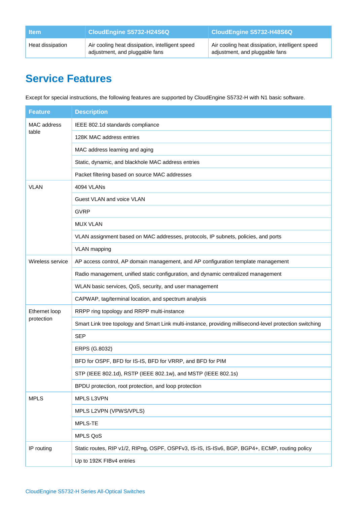| <b>Item</b>      | CloudEngine S5732-H24S6Q                                                          | CloudEngine S5732-H48S6Q                                                          |
|------------------|-----------------------------------------------------------------------------------|-----------------------------------------------------------------------------------|
| Heat dissipation | Air cooling heat dissipation, intelligent speed<br>adjustment, and pluggable fans | Air cooling heat dissipation, intelligent speed<br>adjustment, and pluggable fans |

## **Service Features**

Except for special instructions, the following features are supported by CloudEngine S5732-H with N1 basic software.

| <b>Feature</b>              | <b>Description</b>                                                                                       |
|-----------------------------|----------------------------------------------------------------------------------------------------------|
| <b>MAC</b> address<br>table | IEEE 802.1d standards compliance                                                                         |
|                             | 128K MAC address entries                                                                                 |
|                             | MAC address learning and aging                                                                           |
|                             | Static, dynamic, and blackhole MAC address entries                                                       |
|                             | Packet filtering based on source MAC addresses                                                           |
| <b>VLAN</b>                 | 4094 VLANs                                                                                               |
|                             | Guest VLAN and voice VLAN                                                                                |
|                             | <b>GVRP</b>                                                                                              |
|                             | <b>MUX VLAN</b>                                                                                          |
|                             | VLAN assignment based on MAC addresses, protocols, IP subnets, policies, and ports                       |
|                             | <b>VLAN</b> mapping                                                                                      |
| Wireless service            | AP access control, AP domain management, and AP configuration template management                        |
|                             | Radio management, unified static configuration, and dynamic centralized management                       |
|                             | WLAN basic services, QoS, security, and user management                                                  |
|                             | CAPWAP, tag/terminal location, and spectrum analysis                                                     |
| Ethernet loop               | RRPP ring topology and RRPP multi-instance                                                               |
| protection                  | Smart Link tree topology and Smart Link multi-instance, providing millisecond-level protection switching |
|                             | <b>SEP</b>                                                                                               |
|                             | ERPS (G.8032)                                                                                            |
|                             | BFD for OSPF, BFD for IS-IS, BFD for VRRP, and BFD for PIM                                               |
|                             | STP (IEEE 802.1d), RSTP (IEEE 802.1w), and MSTP (IEEE 802.1s)                                            |
|                             | BPDU protection, root protection, and loop protection                                                    |
| <b>MPLS</b>                 | MPLS L3VPN                                                                                               |
|                             | MPLS L2VPN (VPWS/VPLS)                                                                                   |
|                             | MPLS-TE                                                                                                  |
|                             | MPLS QoS                                                                                                 |
| IP routing                  | Static routes, RIP v1/2, RIPng, OSPF, OSPFv3, IS-IS, IS-ISv6, BGP, BGP4+, ECMP, routing policy           |
|                             | Up to 192K FIBv4 entries                                                                                 |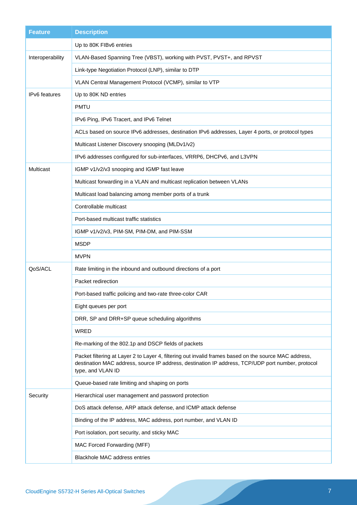| <b>Feature</b>   | <b>Description</b>                                                                                                                                                                                                              |
|------------------|---------------------------------------------------------------------------------------------------------------------------------------------------------------------------------------------------------------------------------|
|                  | Up to 80K FIBv6 entries                                                                                                                                                                                                         |
| Interoperability | VLAN-Based Spanning Tree (VBST), working with PVST, PVST+, and RPVST                                                                                                                                                            |
|                  | Link-type Negotiation Protocol (LNP), similar to DTP                                                                                                                                                                            |
|                  | VLAN Central Management Protocol (VCMP), similar to VTP                                                                                                                                                                         |
| IPv6 features    | Up to 80K ND entries                                                                                                                                                                                                            |
|                  | <b>PMTU</b>                                                                                                                                                                                                                     |
|                  | IPv6 Ping, IPv6 Tracert, and IPv6 Telnet                                                                                                                                                                                        |
|                  | ACLs based on source IPv6 addresses, destination IPv6 addresses, Layer 4 ports, or protocol types                                                                                                                               |
|                  | Multicast Listener Discovery snooping (MLDv1/v2)                                                                                                                                                                                |
|                  | IPv6 addresses configured for sub-interfaces, VRRP6, DHCPv6, and L3VPN                                                                                                                                                          |
| Multicast        | IGMP v1/v2/v3 snooping and IGMP fast leave                                                                                                                                                                                      |
|                  | Multicast forwarding in a VLAN and multicast replication between VLANs                                                                                                                                                          |
|                  | Multicast load balancing among member ports of a trunk                                                                                                                                                                          |
|                  | Controllable multicast                                                                                                                                                                                                          |
|                  | Port-based multicast traffic statistics                                                                                                                                                                                         |
|                  | IGMP v1/v2/v3, PIM-SM, PIM-DM, and PIM-SSM                                                                                                                                                                                      |
|                  | <b>MSDP</b>                                                                                                                                                                                                                     |
|                  | <b>MVPN</b>                                                                                                                                                                                                                     |
| QoS/ACL          | Rate limiting in the inbound and outbound directions of a port                                                                                                                                                                  |
|                  | Packet redirection                                                                                                                                                                                                              |
|                  | Port-based traffic policing and two-rate three-color CAR                                                                                                                                                                        |
|                  | Eight queues per port                                                                                                                                                                                                           |
|                  | DRR, SP and DRR+SP queue scheduling algorithms                                                                                                                                                                                  |
|                  | WRED                                                                                                                                                                                                                            |
|                  | Re-marking of the 802.1p and DSCP fields of packets                                                                                                                                                                             |
|                  | Packet filtering at Layer 2 to Layer 4, filtering out invalid frames based on the source MAC address,<br>destination MAC address, source IP address, destination IP address, TCP/UDP port number, protocol<br>type, and VLAN ID |
|                  | Queue-based rate limiting and shaping on ports                                                                                                                                                                                  |
| Security         | Hierarchical user management and password protection                                                                                                                                                                            |
|                  | DoS attack defense, ARP attack defense, and ICMP attack defense                                                                                                                                                                 |
|                  | Binding of the IP address, MAC address, port number, and VLAN ID                                                                                                                                                                |
|                  | Port isolation, port security, and sticky MAC                                                                                                                                                                                   |
|                  | MAC Forced Forwarding (MFF)                                                                                                                                                                                                     |
|                  | <b>Blackhole MAC address entries</b>                                                                                                                                                                                            |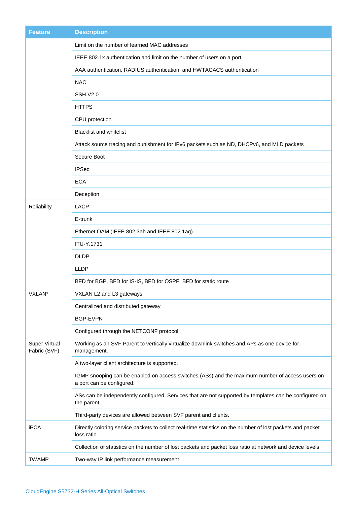| <b>Feature</b>                       | <b>Description</b>                                                                                                           |
|--------------------------------------|------------------------------------------------------------------------------------------------------------------------------|
|                                      | Limit on the number of learned MAC addresses                                                                                 |
|                                      | IEEE 802.1x authentication and limit on the number of users on a port                                                        |
|                                      | AAA authentication, RADIUS authentication, and HWTACACS authentication                                                       |
|                                      | <b>NAC</b>                                                                                                                   |
|                                      | SSH V <sub>2.0</sub>                                                                                                         |
|                                      | <b>HTTPS</b>                                                                                                                 |
|                                      | CPU protection                                                                                                               |
|                                      | <b>Blacklist and whitelist</b>                                                                                               |
|                                      | Attack source tracing and punishment for IPv6 packets such as ND, DHCPv6, and MLD packets                                    |
|                                      | Secure Boot                                                                                                                  |
|                                      | <b>IPSec</b>                                                                                                                 |
|                                      | <b>ECA</b>                                                                                                                   |
|                                      | Deception                                                                                                                    |
| Reliability                          | <b>LACP</b>                                                                                                                  |
|                                      | E-trunk                                                                                                                      |
|                                      | Ethernet OAM (IEEE 802.3ah and IEEE 802.1ag)                                                                                 |
|                                      | <b>ITU-Y.1731</b>                                                                                                            |
|                                      | <b>DLDP</b>                                                                                                                  |
|                                      | <b>LLDP</b>                                                                                                                  |
|                                      | BFD for BGP, BFD for IS-IS, BFD for OSPF, BFD for static route                                                               |
| VXLAN*                               | VXLAN L2 and L3 gateways                                                                                                     |
|                                      | Centralized and distributed gateway                                                                                          |
|                                      | <b>BGP-EVPN</b>                                                                                                              |
|                                      | Configured through the NETCONF protocol                                                                                      |
| <b>Super Virtual</b><br>Fabric (SVF) | Working as an SVF Parent to vertically virtualize downlink switches and APs as one device for<br>management.                 |
|                                      | A two-layer client architecture is supported.                                                                                |
|                                      | IGMP snooping can be enabled on access switches (ASs) and the maximum number of access users on<br>a port can be configured. |
|                                      | ASs can be independently configured. Services that are not supported by templates can be configured on<br>the parent.        |
|                                      | Third-party devices are allowed between SVF parent and clients.                                                              |
| <b>iPCA</b>                          | Directly coloring service packets to collect real-time statistics on the number of lost packets and packet<br>loss ratio     |
|                                      | Collection of statistics on the number of lost packets and packet loss ratio at network and device levels                    |
| <b>TWAMP</b>                         | Two-way IP link performance measurement                                                                                      |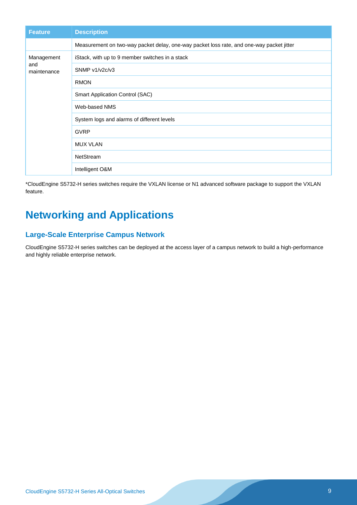| <b>Feature</b>                   | <b>Description</b>                                                                       |
|----------------------------------|------------------------------------------------------------------------------------------|
|                                  | Measurement on two-way packet delay, one-way packet loss rate, and one-way packet jitter |
| Management<br>and<br>maintenance | iStack, with up to 9 member switches in a stack                                          |
|                                  | SNMP v1/v2c/v3                                                                           |
|                                  | <b>RMON</b>                                                                              |
|                                  | Smart Application Control (SAC)                                                          |
|                                  | Web-based NMS                                                                            |
|                                  | System logs and alarms of different levels                                               |
|                                  | <b>GVRP</b>                                                                              |
|                                  | <b>MUX VLAN</b>                                                                          |
|                                  | <b>NetStream</b>                                                                         |
|                                  | Intelligent O&M                                                                          |

\*CloudEngine S5732-H series switches require the VXLAN license or N1 advanced software package to support the VXLAN feature.

## **Networking and Applications**

### **Large-Scale Enterprise Campus Network**

CloudEngine S5732-H series switches can be deployed at the access layer of a campus network to build a high-performance and highly reliable enterprise network.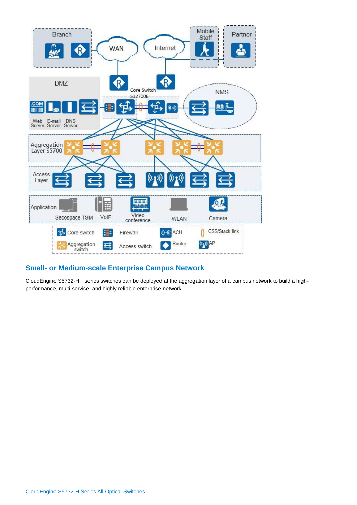

### **Small- or Medium-scale Enterprise Campus Network**

CloudEngine S5732-H series switches can be deployed at the aggregation layer of a campus network to build a highperformance, multi-service, and highly reliable enterprise network.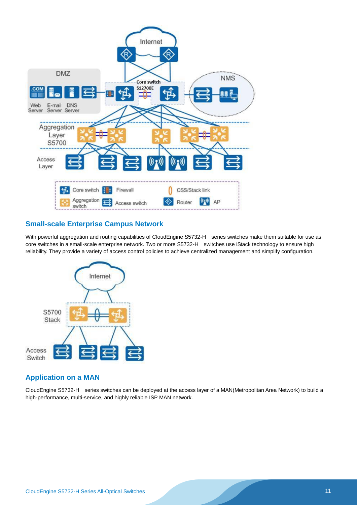

### **Small-scale Enterprise Campus Network**

With powerful aggregation and routing capabilities of CloudEngine S5732-H series switches make them suitable for use as core switches in a small-scale enterprise network. Two or more S5732-H switches use iStack technology to ensure high reliability. They provide a variety of access control policies to achieve centralized management and simplify configuration.



#### **Application on a MAN**

CloudEngine S5732-H series switches can be deployed at the access layer of a MAN(Metropolitan Area Network) to build a high-performance, multi-service, and highly reliable ISP MAN network.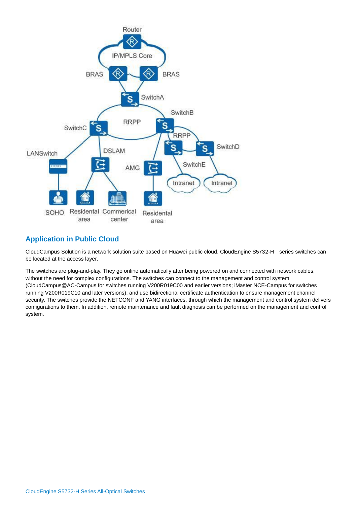

### **Application in Public Cloud**

CloudCampus Solution is a network solution suite based on Huawei public cloud. CloudEngine S5732-H series switches can be located at the access layer.

The switches are plug-and-play. They go online automatically after being powered on and connected with network cables, without the need for complex configurations. The switches can connect to the management and control system (CloudCampus@AC-Campus for switches running V200R019C00 and earlier versions; iMaster NCE-Campus for switches running V200R019C10 and later versions), and use bidirectional certificate authentication to ensure management channel security. The switches provide the NETCONF and YANG interfaces, through which the management and control system delivers configurations to them. In addition, remote maintenance and fault diagnosis can be performed on the management and control system.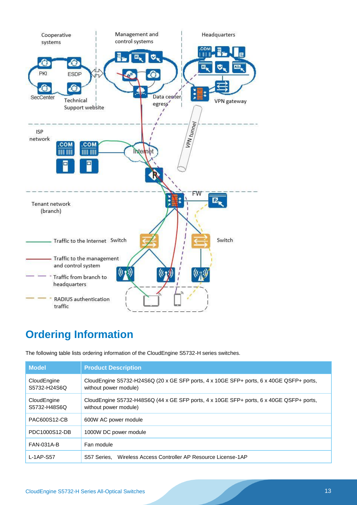

## **Ordering Information**

The following table lists ordering information of the CloudEngine S5732-H series switches.

| <b>Model</b>                | <b>Product Description</b>                                                                                       |
|-----------------------------|------------------------------------------------------------------------------------------------------------------|
| CloudEngine<br>S5732-H24S6Q | CloudEngine S5732-H24S6Q (20 x GE SFP ports, 4 x 10GE SFP+ ports, 6 x 40GE QSFP+ ports,<br>without power module) |
| CloudEngine<br>S5732-H48S6Q | CloudEngine S5732-H48S6Q (44 x GE SFP ports, 4 x 10GE SFP+ ports, 6 x 40GE QSFP+ ports,<br>without power module) |
| PAC600S12-CB                | 600W AC power module                                                                                             |
| PDC1000S12-DB               | 1000W DC power module                                                                                            |
| FAN-031A-B                  | Fan module                                                                                                       |
| $L-1AP-S57$                 | Wireless Access Controller AP Resource License-1AP<br>S57 Series.                                                |